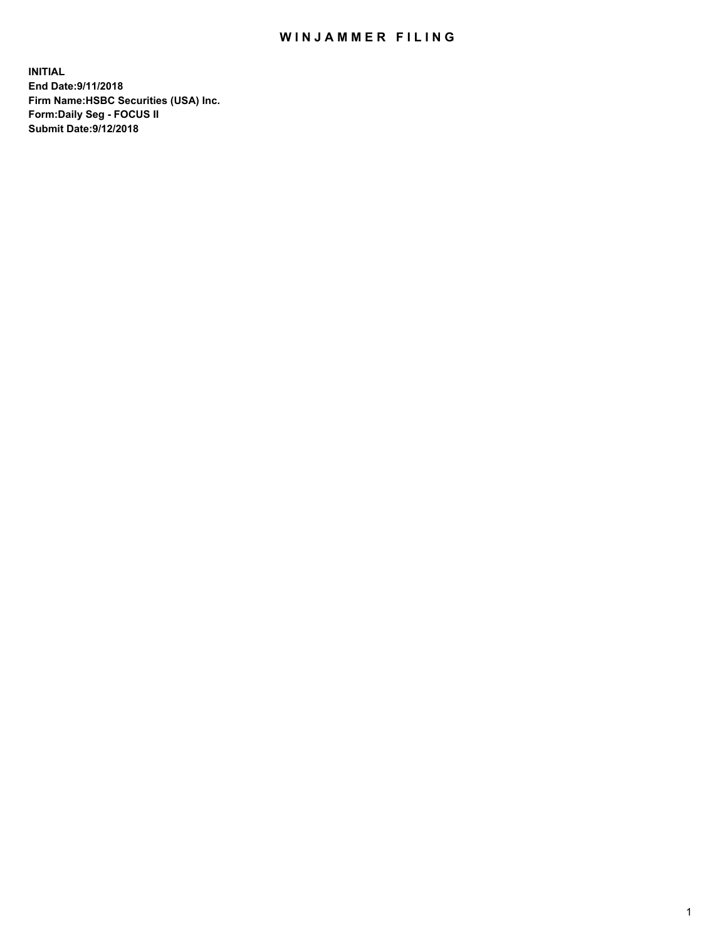## WIN JAMMER FILING

**INITIAL End Date:9/11/2018 Firm Name:HSBC Securities (USA) Inc. Form:Daily Seg - FOCUS II Submit Date:9/12/2018**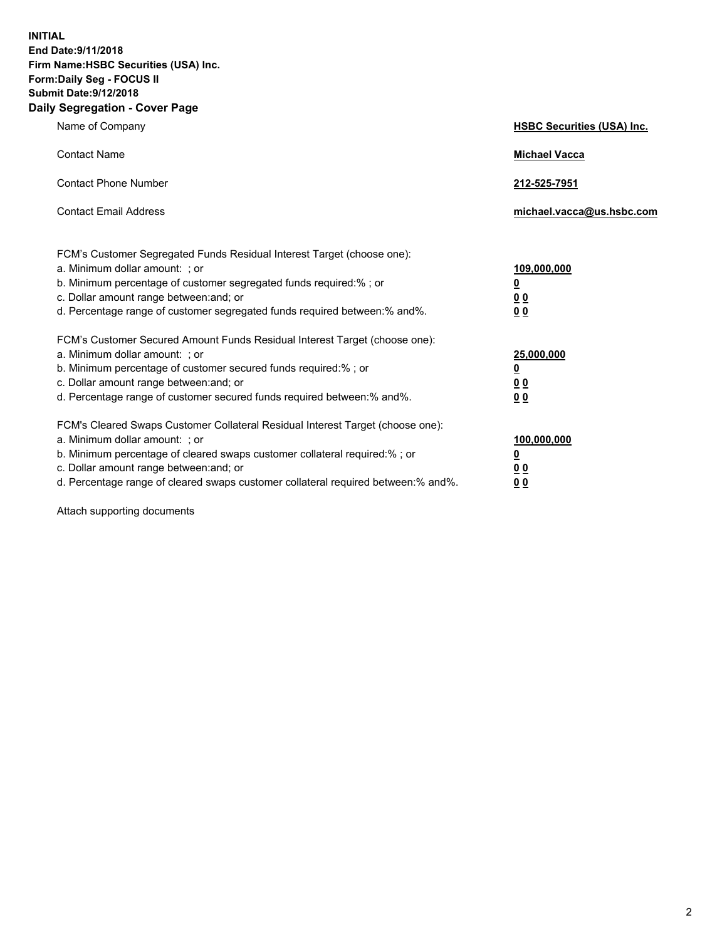**INITIAL End Date:9/11/2018 Firm Name:HSBC Securities (USA) Inc. Form:Daily Seg - FOCUS II Submit Date:9/12/2018 Daily Segregation - Cover Page**

| Name of Company                                                                                                                                                                                                                                                                                                                | <b>HSBC Securities (USA) Inc.</b>                                          |
|--------------------------------------------------------------------------------------------------------------------------------------------------------------------------------------------------------------------------------------------------------------------------------------------------------------------------------|----------------------------------------------------------------------------|
| <b>Contact Name</b>                                                                                                                                                                                                                                                                                                            | <b>Michael Vacca</b>                                                       |
| <b>Contact Phone Number</b>                                                                                                                                                                                                                                                                                                    | 212-525-7951                                                               |
| <b>Contact Email Address</b>                                                                                                                                                                                                                                                                                                   | michael.vacca@us.hsbc.com                                                  |
| FCM's Customer Segregated Funds Residual Interest Target (choose one):<br>a. Minimum dollar amount: : or<br>b. Minimum percentage of customer segregated funds required:% ; or<br>c. Dollar amount range between: and; or<br>d. Percentage range of customer segregated funds required between:% and%.                         | 109,000,000<br>$\overline{\mathbf{0}}$<br>0 <sub>0</sub><br>0 <sub>0</sub> |
| FCM's Customer Secured Amount Funds Residual Interest Target (choose one):<br>a. Minimum dollar amount: ; or<br>b. Minimum percentage of customer secured funds required:%; or<br>c. Dollar amount range between: and; or<br>d. Percentage range of customer secured funds required between:% and%.                            | 25,000,000<br>$\overline{\mathbf{0}}$<br>0 <sub>0</sub><br>0 <sub>0</sub>  |
| FCM's Cleared Swaps Customer Collateral Residual Interest Target (choose one):<br>a. Minimum dollar amount: ; or<br>b. Minimum percentage of cleared swaps customer collateral required:% ; or<br>c. Dollar amount range between: and; or<br>d. Percentage range of cleared swaps customer collateral required between:% and%. | 100,000,000<br>$\overline{\mathbf{0}}$<br>0 <sub>0</sub><br>0 <sub>0</sub> |

Attach supporting documents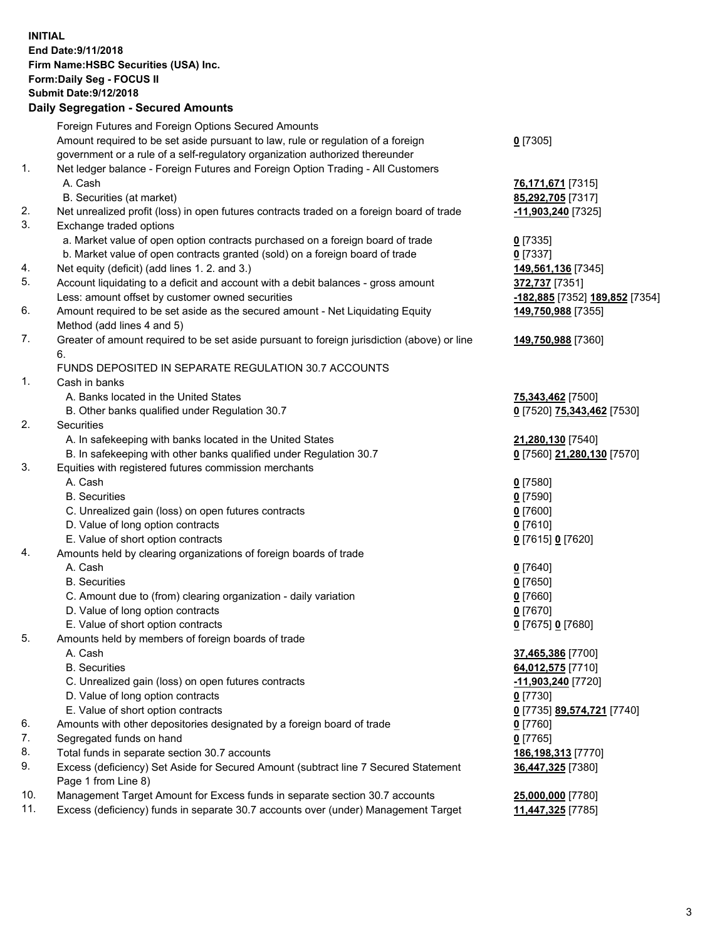**INITIAL End Date:9/11/2018 Firm Name:HSBC Securities (USA) Inc. Form:Daily Seg - FOCUS II Submit Date:9/12/2018 Daily Segregation - Secured Amounts** Foreign Futures and Foreign Options Secured Amounts Amount required to be set aside pursuant to law, rule or regulation of a foreign

government or a rule of a self-regulatory organization authorized thereunder

## 1. Net ledger balance - Foreign Futures and Foreign Option Trading - All Customers A. Cash **76,171,671** [7315]

- B. Securities (at market) **85,292,705** [7317]
- 2. Net unrealized profit (loss) in open futures contracts traded on a foreign board of trade **-11,903,240** [7325]
- 3. Exchange traded options
	- a. Market value of open option contracts purchased on a foreign board of trade **0** [7335]
	- b. Market value of open contracts granted (sold) on a foreign board of trade **0** [7337]
- 4. Net equity (deficit) (add lines 1. 2. and 3.) **149,561,136** [7345]
- 5. Account liquidating to a deficit and account with a debit balances gross amount **372,737** [7351] Less: amount offset by customer owned securities **-182,885** [7352] **189,852** [7354]
- 6. Amount required to be set aside as the secured amount Net Liquidating Equity Method (add lines 4 and 5)
- 7. Greater of amount required to be set aside pursuant to foreign jurisdiction (above) or line 6.

## FUNDS DEPOSITED IN SEPARATE REGULATION 30.7 ACCOUNTS

- 1. Cash in banks
	- A. Banks located in the United States **75,343,462** [7500]
	- B. Other banks qualified under Regulation 30.7 **0** [7520] **75,343,462** [7530]
- 2. Securities
	- A. In safekeeping with banks located in the United States **21,280,130** [7540]
	- B. In safekeeping with other banks qualified under Regulation 30.7 **0** [7560] **21,280,130** [7570]
- 3. Equities with registered futures commission merchants
	- A. Cash **0** [7580]
	- B. Securities **0** [7590]
	- C. Unrealized gain (loss) on open futures contracts **0** [7600]
	- D. Value of long option contracts **0** [7610]
	- E. Value of short option contracts **0** [7615] **0** [7620]
- 4. Amounts held by clearing organizations of foreign boards of trade
	- A. Cash **0** [7640]
	- B. Securities **0** [7650]
	- C. Amount due to (from) clearing organization daily variation **0** [7660]
	- D. Value of long option contracts **0** [7670]
	- E. Value of short option contracts **0** [7675] **0** [7680]
- 5. Amounts held by members of foreign boards of trade
	-
	-
	- C. Unrealized gain (loss) on open futures contracts **-11,903,240** [7720]
	- D. Value of long option contracts **0** [7730]
	- E. Value of short option contracts **0** [7735] **89,574,721** [7740]
- 6. Amounts with other depositories designated by a foreign board of trade **0** [7760]
- 7. Segregated funds on hand **0** [7765]
- 8. Total funds in separate section 30.7 accounts **186,198,313** [7770]
- 9. Excess (deficiency) Set Aside for Secured Amount (subtract line 7 Secured Statement Page 1 from Line 8)
- 10. Management Target Amount for Excess funds in separate section 30.7 accounts **25,000,000** [7780]
- 11. Excess (deficiency) funds in separate 30.7 accounts over (under) Management Target **11,447,325** [7785]

**149,750,988** [7355] **149,750,988** [7360]

- A. Cash **37,465,386** [7700] B. Securities **64,012,575** [7710]
	- **36,447,325** [7380]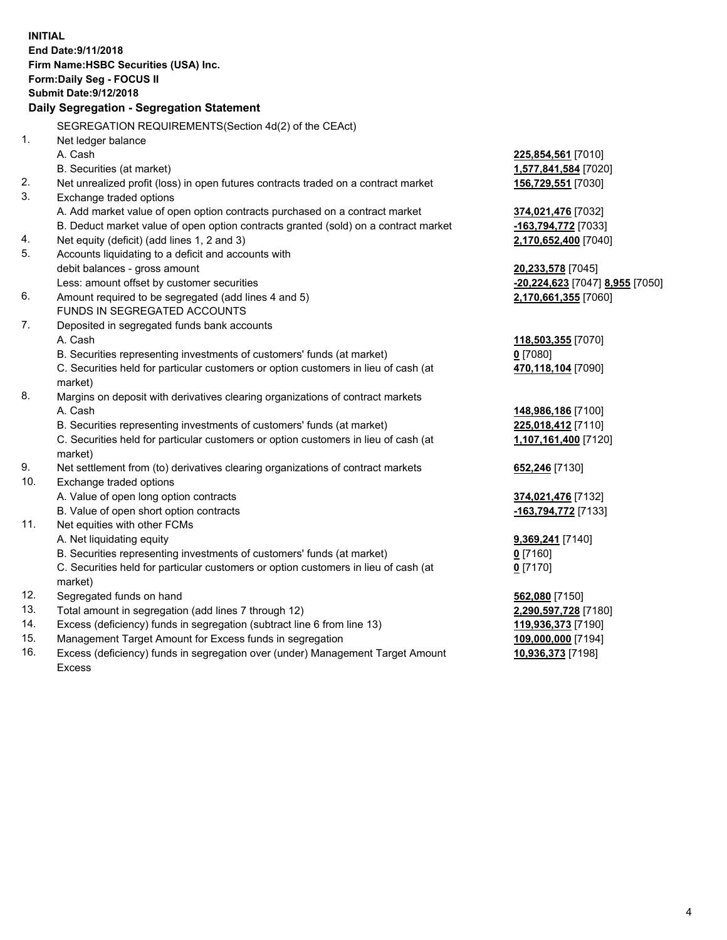**INITIAL End Date:9/11/2018 Firm Name:HSBC Securities (USA) Inc. Form:Daily Seg - FOCUS II Submit Date:9/12/2018 Daily Segregation - Segregation Statement** SEGREGATION REQUIREMENTS(Section 4d(2) of the CEAct) 1. Net ledger balance A. Cash **225,854,561** [7010] B. Securities (at market) **1,577,841,584** [7020] 2. Net unrealized profit (loss) in open futures contracts traded on a contract market **156,729,551** [7030] 3. Exchange traded options A. Add market value of open option contracts purchased on a contract market **374,021,476** [7032] B. Deduct market value of open option contracts granted (sold) on a contract market **-163,794,772** [7033] 4. Net equity (deficit) (add lines 1, 2 and 3) **2,170,652,400** [7040] 5. Accounts liquidating to a deficit and accounts with debit balances - gross amount **20,233,578** [7045] Less: amount offset by customer securities **-20,224,623** [7047] **8,955** [7050] 6. Amount required to be segregated (add lines 4 and 5) **2,170,661,355** [7060] FUNDS IN SEGREGATED ACCOUNTS 7. Deposited in segregated funds bank accounts A. Cash **118,503,355** [7070] B. Securities representing investments of customers' funds (at market) **0** [7080] C. Securities held for particular customers or option customers in lieu of cash (at market) **470,118,104** [7090] 8. Margins on deposit with derivatives clearing organizations of contract markets A. Cash **148,986,186** [7100] B. Securities representing investments of customers' funds (at market) **225,018,412** [7110] C. Securities held for particular customers or option customers in lieu of cash (at market) **1,107,161,400** [7120] 9. Net settlement from (to) derivatives clearing organizations of contract markets **652,246** [7130] 10. Exchange traded options A. Value of open long option contracts **374,021,476** [7132] B. Value of open short option contracts **-163,794,772** [7133] 11. Net equities with other FCMs A. Net liquidating equity **9,369,241** [7140] B. Securities representing investments of customers' funds (at market) **0** [7160] C. Securities held for particular customers or option customers in lieu of cash (at market) **0** [7170] 12. Segregated funds on hand **562,080** [7150] 13. Total amount in segregation (add lines 7 through 12) **2,290,597,728** [7180] 14. Excess (deficiency) funds in segregation (subtract line 6 from line 13) **119,936,373** [7190] 15. Management Target Amount for Excess funds in segregation **109,000,000** [7194] 16. Excess (deficiency) funds in segregation over (under) Management Target Amount **10,936,373** [7198]

Excess